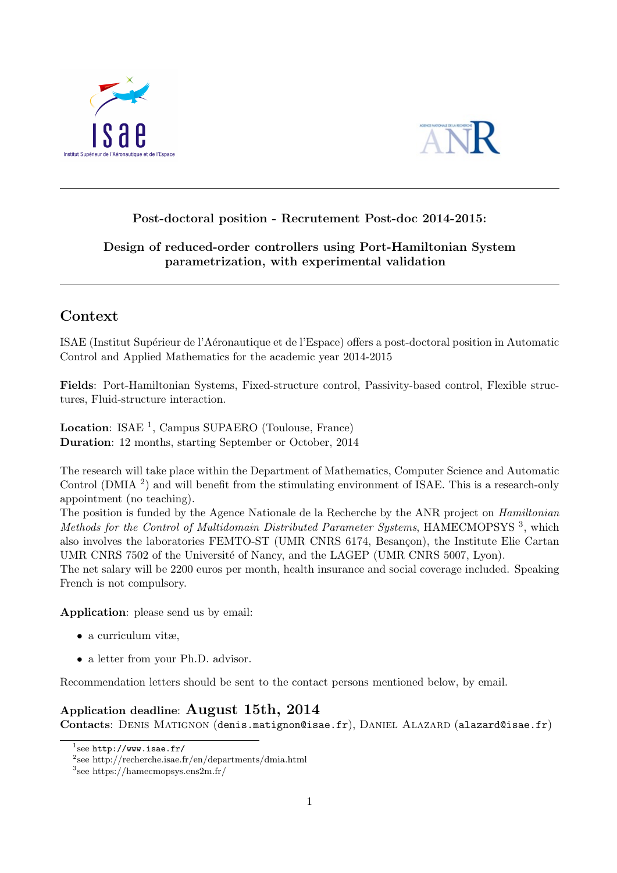



## Post-doctoral position - Recrutement Post-doc 2014-2015:

### Design of reduced-order controllers using Port-Hamiltonian System parametrization, with experimental validation

# Context

ISAE (Institut Supérieur de l'Aéronautique et de l'Espace) offers a post-doctoral position in Automatic Control and Applied Mathematics for the academic year 2014-2015

Fields: Port-Hamiltonian Systems, Fixed-structure control, Passivity-based control, Flexible structures, Fluid-structure interaction.

Location: ISAE<sup>1</sup>, Campus SUPAERO (Toulouse, France) Duration: 12 months, starting September or October, 2014

The research will take place within the Department of Mathematics, Computer Science and Automatic Control (DMIA<sup>2</sup>) and will benefit from the stimulating environment of ISAE. This is a research-only appointment (no teaching).

The position is funded by the Agence Nationale de la Recherche by the ANR project on Hamiltonian Methods for the Control of Multidomain Distributed Parameter Systems, HAMECMOPSYS<sup>3</sup>, which also involves the laboratories FEMTO-ST (UMR CNRS 6174, Besançon), the Institute Elie Cartan UMR CNRS 7502 of the Université of Nancy, and the LAGEP (UMR CNRS 5007, Lyon).

The net salary will be 2200 euros per month, health insurance and social coverage included. Speaking French is not compulsory.

Application: please send us by email:

- a curriculum vitæ,
- a letter from your Ph.D. advisor.

Recommendation letters should be sent to the contact persons mentioned below, by email.

## Application deadline: August 15th, 2014

Contacts: DENIS MATIGNON (denis.matignon@isae.fr), DANIEL ALAZARD (alazard@isae.fr)

 $^1$ see http://www.isae.fr/

<sup>2</sup> see http://recherche.isae.fr/en/departments/dmia.html

<sup>3</sup> see https://hamecmopsys.ens2m.fr/